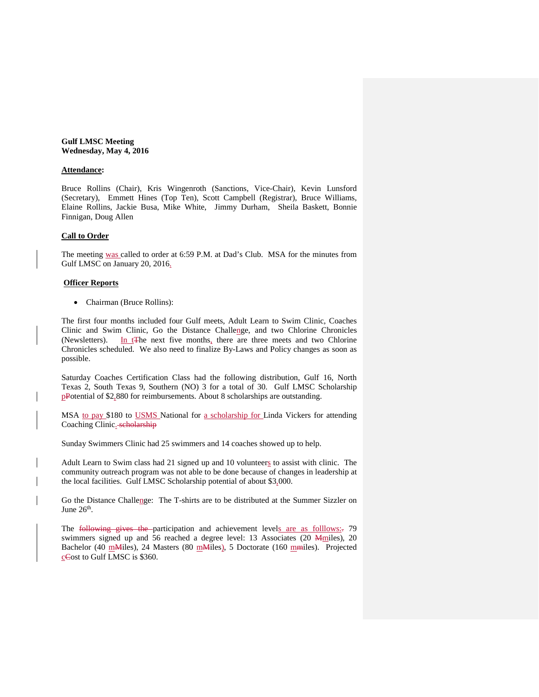## **Gulf LMSC Meeting Wednesday, May 4, 2016**

## **Attendance:**

Bruce Rollins (Chair), Kris Wingenroth (Sanctions, Vice-Chair), Kevin Lunsford (Secretary), Emmett Hines (Top Ten), Scott Campbell (Registrar), Bruce Williams, Elaine Rollins, Jackie Busa, Mike White, Jimmy Durham, Sheila Baskett, Bonnie Finnigan, Doug Allen

#### **Call to Order**

The meeting was called to order at 6:59 P.M. at Dad's Club. MSA for the minutes from Gulf LMSC on January 20, 2016.

### **Officer Reports**

• Chairman (Bruce Rollins):

The first four months included four Gulf meets, Adult Learn to Swim Clinic, Coaches Clinic and Swim Clinic, Go the Distance Challenge, and two Chlorine Chronicles (Newsletters). In t<sub>t</sub> The next five months, there are three meets and two Chlorine In t<del>T</del>he next five months, there are three meets and two Chlorine Chronicles scheduled. We also need to finalize By-Laws and Policy changes as soon as possible.

Saturday Coaches Certification Class had the following distribution, Gulf 16, North Texas 2, South Texas 9, Southern (NO) 3 for a total of 30. Gulf LMSC Scholarship pPotential of \$2,880 for reimbursements. About 8 scholarships are outstanding.

MSA to pay \$180 to USMS National for a scholarship for Linda Vickers for attending Coaching Clinic. scholarship

Sunday Swimmers Clinic had 25 swimmers and 14 coaches showed up to help.

Adult Learn to Swim class had 21 signed up and 10 volunteers to assist with clinic. The community outreach program was not able to be done because of changes in leadership at the local facilities. Gulf LMSC Scholarship potential of about \$3,000.

Go the Distance Challenge: The T-shirts are to be distributed at the Summer Sizzler on June 26<sup>th</sup>.

The following gives the participation and achievement levels are as folllows: 79 swimmers signed up and 56 reached a degree level: 13 Associates (20 *Mmiles*), 20 Bachelor (40 m<sub>Miles</sub>), 24 Masters (80 m<sub>Miles</sub>), 5 Doctorate (160 m<sub>miles</sub>). Projected cCost to Gulf LMSC is \$360.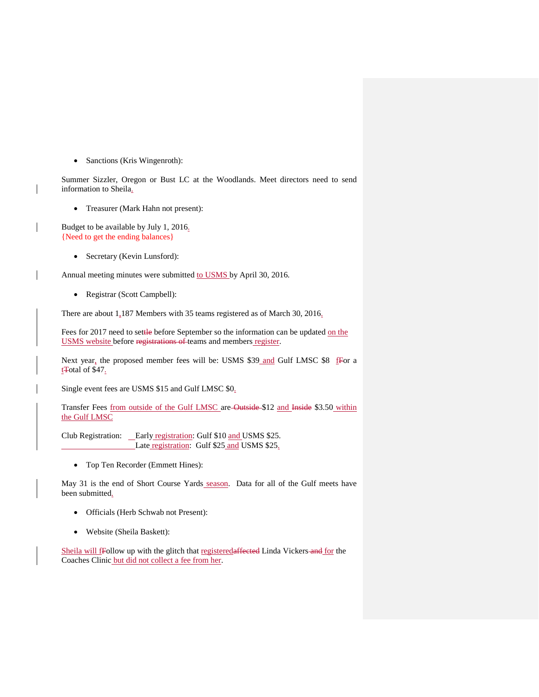• Sanctions (Kris Wingenroth):

Summer Sizzler, Oregon or Bust LC at the Woodlands. Meet directors need to send information to Sheila.

• Treasurer (Mark Hahn not present):

Budget to be available by July 1, 2016. {Need to get the ending balances}

• Secretary (Kevin Lunsford):

Annual meeting minutes were submitted to USMS by April 30, 2016.

• Registrar (Scott Campbell):

There are about  $1.187$  Members with 35 teams registered as of March 30, 2016.

Fees for 2017 need to settle before September so the information can be updated on the USMS website before registrations of teams and members register.

Next year, the proposed member fees will be: USMS \$39 and Gulf LMSC \$8  $f$ For a t<sup>T</sup>otal of \$47.

Single event fees are USMS \$15 and Gulf LMSC \$0.

Transfer Fees from outside of the Gulf LMSC are-Outside-\$12 and Inside \$3.50 within the Gulf LMSC

Club Registration: \_Early registration: Gulf \$10 and USMS \$25. Late registration: Gulf \$25 and USMS \$25.

• Top Ten Recorder (Emmett Hines):

May 31 is the end of Short Course Yards season. Data for all of the Gulf meets have been submitted.

- Officials (Herb Schwab not Present):
- Website (Sheila Baskett):

Sheila will fFollow up with the glitch that registeredaffected Linda Vickers and for the Coaches Clinic but did not collect a fee from her.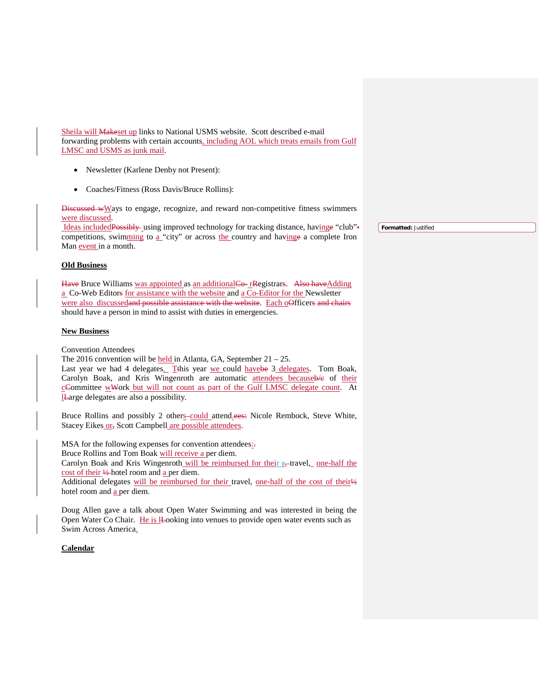Sheila will Makeset up links to National USMS website. Scott described e-mail forwarding problems with certain accounts, including AOL which treats emails from Gulf LMSC and USMS as junk mail.

- Newsletter (Karlene Denby not Present):
- Coaches/Fitness (Ross Davis/Bruce Rollins):

Discussed wWays to engage, recognize, and reward non-competitive fitness swimmers were discussed.

Ideas includedPossibly using improved technology for tracking distance, havinge "club" competitions, swimming to a "city" or across the country and havinge a complete Iron Man event in a month.

## **Old Business**

Have Bruce Williams was appointed as an additional Co- rRegistrars. Also have Adding a Co-Web Editors for assistance with the website and a Co-Editor for the Newsletter were also discussedand possible assistance with the website. Each oOfficers and chairs should have a person in mind to assist with duties in emergencies.

### **New Business**

Convention Attendees

The 2016 convention will be held in Atlanta, GA, September  $21 - 25$ .

Last year we had 4 delegates. This year we could have be 3 delegates. Tom Boak, Carolyn Boak, and Kris Wingenroth are automatic attendees becauseb/e of their cCommittee wWork but will not count as part of the Gulf LMSC delegate count. At lLarge delegates are also a possibility.

Bruce Rollins and possibly 2 others could attend.ees: Nicole Rembock, Steve White, Stacey Eikes or, Scott Campbell are possible attendees.

MSA for the following expenses for convention attendees<sub>!</sub>.

Bruce Rollins and Tom Boak will receive a per diem.

Carolyn Boak and Kris Wingenroth will be reimbursed for their  $r<sub>z</sub>$ -travel, one-half the cost of their 1/2-hotel room and a per diem.

Additional delegates will be reimbursed for their travel, one-half of the cost of their14 hotel room and a per diem.

Doug Allen gave a talk about Open Water Swimming and was interested in being the Open Water Co Chair. He is lleooking into venues to provide open water events such as Swim Across America.

# **Calendar**

**Formatted:** Justified